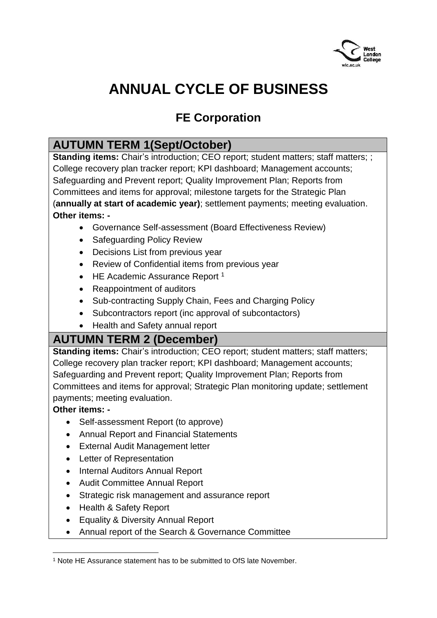

# **ANNUAL CYCLE OF BUSINESS**

## **FE Corporation**

#### **AUTUMN TERM 1(Sept/October)**

**Standing items:** Chair's introduction; CEO report; student matters; staff matters; ; College recovery plan tracker report; KPI dashboard; Management accounts; Safeguarding and Prevent report; Quality Improvement Plan; Reports from Committees and items for approval; milestone targets for the Strategic Plan (**annually at start of academic year)**; settlement payments; meeting evaluation. **Other items: -**

- Governance Self-assessment (Board Effectiveness Review)
- Safeguarding Policy Review
- Decisions List from previous year
- Review of Confidential items from previous year
- $\bullet$  HE Academic Assurance Report<sup>1</sup>
- Reappointment of auditors
- Sub-contracting Supply Chain, Fees and Charging Policy
- Subcontractors report (inc approval of subcontactors)
- Health and Safety annual report

### **AUTUMN TERM 2 (December)**

**Standing items:** Chair's introduction; CEO report; student matters; staff matters; College recovery plan tracker report; KPI dashboard; Management accounts; Safeguarding and Prevent report; Quality Improvement Plan; Reports from Committees and items for approval; Strategic Plan monitoring update; settlement payments; meeting evaluation.

**Other items: -**

1

- Self-assessment Report (to approve)
- Annual Report and Financial Statements
- External Audit Management letter
- Letter of Representation
- Internal Auditors Annual Report
- Audit Committee Annual Report
- Strategic risk management and assurance report
- Health & Safety Report
- Equality & Diversity Annual Report
- Annual report of the Search & Governance Committee

<sup>1</sup> Note HE Assurance statement has to be submitted to OfS late November.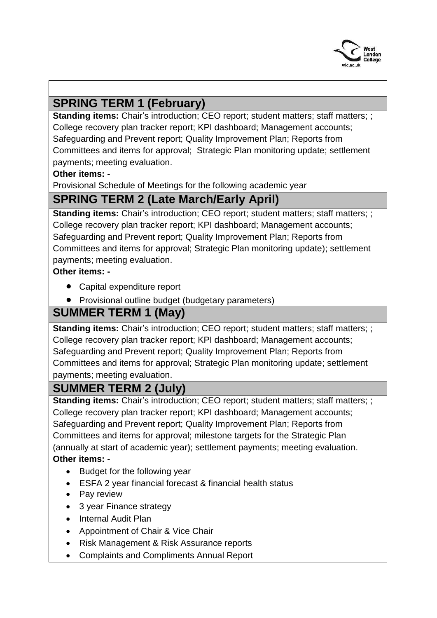

## **SPRING TERM 1 (February)**

**Standing items:** Chair's introduction; CEO report; student matters; staff matters; ; College recovery plan tracker report; KPI dashboard; Management accounts; Safeguarding and Prevent report; Quality Improvement Plan; Reports from Committees and items for approval; Strategic Plan monitoring update; settlement payments; meeting evaluation.

#### **Other items: -**

Provisional Schedule of Meetings for the following academic year

### **SPRING TERM 2 (Late March/Early April)**

**Standing items:** Chair's introduction; CEO report; student matters; staff matters; ; College recovery plan tracker report; KPI dashboard; Management accounts; Safeguarding and Prevent report; Quality Improvement Plan; Reports from Committees and items for approval; Strategic Plan monitoring update); settlement payments; meeting evaluation.

**Other items: -**

- Capital expenditure report
- Provisional outline budget (budgetary parameters)

### **SUMMER TERM 1 (May)**

**Standing items:** Chair's introduction; CEO report; student matters; staff matters; ; College recovery plan tracker report; KPI dashboard; Management accounts; Safeguarding and Prevent report; Quality Improvement Plan; Reports from Committees and items for approval; Strategic Plan monitoring update; settlement payments; meeting evaluation.

### **SUMMER TERM 2 (July)**

**Standing items:** Chair's introduction; CEO report; student matters; staff matters; ; College recovery plan tracker report; KPI dashboard; Management accounts; Safeguarding and Prevent report; Quality Improvement Plan; Reports from Committees and items for approval; milestone targets for the Strategic Plan (annually at start of academic year); settlement payments; meeting evaluation. **Other items: -**

- Budget for the following year
- ESFA 2 year financial forecast & financial health status
- Pay review
- 3 year Finance strategy
- Internal Audit Plan
- Appointment of Chair & Vice Chair
- Risk Management & Risk Assurance reports
- Complaints and Compliments Annual Report